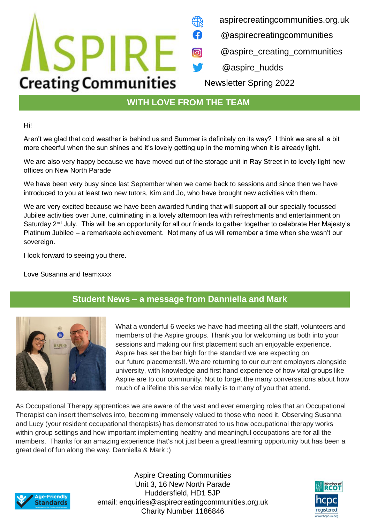#### aspirecreatingcommunities.org.uk

- @aspirecreatingcommunities
- @aspire\_creating\_communities
- @aspire\_hudds

Newsletter Spring 2022

## **WITH LOVE FROM THE TEAM**

0

 $\bigcirc$ 

Hi!

Aren't we glad that cold weather is behind us and Summer is definitely on its way? I think we are all a bit more cheerful when the sun shines and it's lovely getting up in the morning when it is already light.

We are also very happy because we have moved out of the storage unit in Ray Street in to lovely light new offices on New North Parade

We have been very busy since last September when we came back to sessions and since then we have introduced to you at least two new tutors, Kim and Jo, who have brought new activities with them.

We are very excited because we have been awarded funding that will support all our specially focussed Jubilee activities over June, culminating in a lovely afternoon tea with refreshments and entertainment on Saturday 2<sup>nd</sup> July. This will be an opportunity for all our friends to gather together to celebrate Her Majesty's Platinum Jubilee – a remarkable achievement. Not many of us will remember a time when she wasn't our sovereign.

I look forward to seeing you there.

**ISPIRE** 

**Creating Communities** 

Love Susanna and teamxxxx

### **Student News – a message from Danniella and Mark**



What a wonderful 6 weeks we have had meeting all the staff, volunteers and members of the Aspire groups. Thank you for welcoming us both into your sessions and making our first placement such an enjoyable experience. Aspire has set the bar high for the standard we are expecting on our future placements!!. We are returning to our current employers alongside university, with knowledge and first hand experience of how vital groups like Aspire are to our community. Not to forget the many conversations about how much of a lifeline this service really is to many of you that attend.

As Occupational Therapy apprentices we are aware of the vast and ever emerging roles that an Occupational Therapist can insert themselves into, becoming immensely valued to those who need it. Observing Susanna and Lucy (your resident occupational therapists) has demonstrated to us how occupational therapy works within group settings and how important implementing healthy and meaningful occupations are for all the members. Thanks for an amazing experience that's not just been a great learning opportunity but has been a great deal of fun along the way. Danniella & Mark :)



Aspire Creating Communities Unit 3, 16 New North Parade Huddersfield, HD1 5JP email: enquiries@aspirecreatingcommunities.org.uk Charity Number 1186846

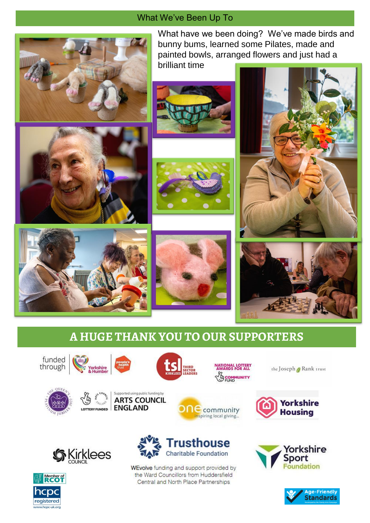### What We've Been Up To



What have we been doing? We've made birds and bunny bums, learned some Pilates, made and painted bowls, arranged flowers and just had a brilliant time













# **A HUGE THANK YOU TO OUR SUPPORTERS**

funded through





Supported using public funding by **ARTS COUNCIL** 

LOTTERY FUNDED ENGLAND

ONAL LOTTERY<br>ARDS FOR ALL GCOMMUNITY

**ne** community

Inspiring local giving...

the Joseph / Rank trust









WEvolve funding and support provided by the Ward Councillors from Huddersfield Central and North Place Partnerships